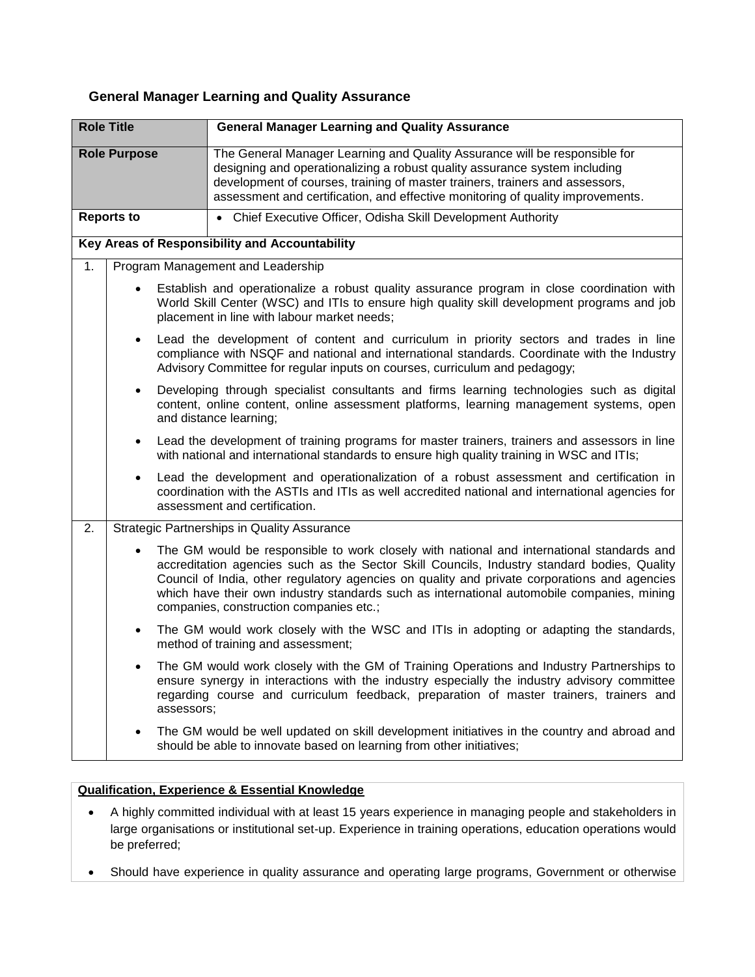## **General Manager Learning and Quality Assurance**

| <b>Role Title</b>   |            | <b>General Manager Learning and Quality Assurance</b>                                                                                                                                                                                                                                                                                                                                                                             |  |
|---------------------|------------|-----------------------------------------------------------------------------------------------------------------------------------------------------------------------------------------------------------------------------------------------------------------------------------------------------------------------------------------------------------------------------------------------------------------------------------|--|
| <b>Role Purpose</b> |            | The General Manager Learning and Quality Assurance will be responsible for<br>designing and operationalizing a robust quality assurance system including<br>development of courses, training of master trainers, trainers and assessors,<br>assessment and certification, and effective monitoring of quality improvements.                                                                                                       |  |
| <b>Reports to</b>   |            | • Chief Executive Officer, Odisha Skill Development Authority                                                                                                                                                                                                                                                                                                                                                                     |  |
|                     |            | <b>Key Areas of Responsibility and Accountability</b>                                                                                                                                                                                                                                                                                                                                                                             |  |
| 1.                  |            | Program Management and Leadership                                                                                                                                                                                                                                                                                                                                                                                                 |  |
|                     |            | Establish and operationalize a robust quality assurance program in close coordination with<br>World Skill Center (WSC) and ITIs to ensure high quality skill development programs and job<br>placement in line with labour market needs;                                                                                                                                                                                          |  |
|                     |            | Lead the development of content and curriculum in priority sectors and trades in line<br>compliance with NSQF and national and international standards. Coordinate with the Industry<br>Advisory Committee for regular inputs on courses, curriculum and pedagogy;                                                                                                                                                                |  |
|                     | $\bullet$  | Developing through specialist consultants and firms learning technologies such as digital<br>content, online content, online assessment platforms, learning management systems, open<br>and distance learning;                                                                                                                                                                                                                    |  |
|                     | $\bullet$  | Lead the development of training programs for master trainers, trainers and assessors in line<br>with national and international standards to ensure high quality training in WSC and ITIs;                                                                                                                                                                                                                                       |  |
|                     | $\bullet$  | Lead the development and operationalization of a robust assessment and certification in<br>coordination with the ASTIs and ITIs as well accredited national and international agencies for<br>assessment and certification.                                                                                                                                                                                                       |  |
| 2.                  |            | <b>Strategic Partnerships in Quality Assurance</b>                                                                                                                                                                                                                                                                                                                                                                                |  |
|                     |            | The GM would be responsible to work closely with national and international standards and<br>accreditation agencies such as the Sector Skill Councils, Industry standard bodies, Quality<br>Council of India, other regulatory agencies on quality and private corporations and agencies<br>which have their own industry standards such as international automobile companies, mining<br>companies, construction companies etc.; |  |
|                     | ٠          | The GM would work closely with the WSC and ITIs in adopting or adapting the standards,<br>method of training and assessment;                                                                                                                                                                                                                                                                                                      |  |
|                     | assessors; | The GM would work closely with the GM of Training Operations and Industry Partnerships to<br>ensure synergy in interactions with the industry especially the industry advisory committee<br>regarding course and curriculum feedback, preparation of master trainers, trainers and                                                                                                                                                |  |
|                     |            | The GM would be well updated on skill development initiatives in the country and abroad and<br>should be able to innovate based on learning from other initiatives;                                                                                                                                                                                                                                                               |  |

## **Qualification, Experience & Essential Knowledge**

- A highly committed individual with at least 15 years experience in managing people and stakeholders in large organisations or institutional set-up. Experience in training operations, education operations would be preferred;
- Should have experience in quality assurance and operating large programs, Government or otherwise